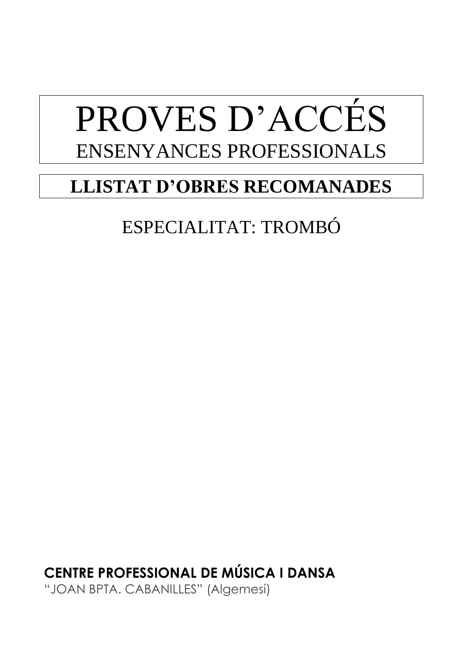# PROVES D'ACCÉS ENSENYANCES PROFESSIONALS

# **LLISTAT D'OBRES RECOMANADES**

# ESPECIALITAT: TROMBÓ

**CENTRE PROFESSIONAL DE MÚSICA I DANSA** "JOAN BPTA. CABANILLES" (Algemesí)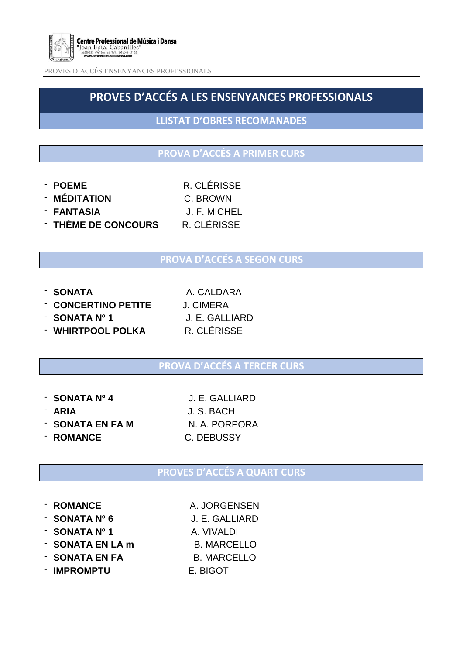

PROVES D'ACCÉS ENSENYANCES PROFESSIONALS

# **PROVES D'ACCÉS A LES ENSENYANCES PROFESSIONALS**

**LLISTAT D'OBRES RECOMANADES**

## **PROVA D'ACCÉS A PRIMER CURS**

- **POEME** R. CLÉRISSE

- **MÉDITATION** C. BROWN
- **FANTASIA** J. F. MICHEL

- **THÈME DE CONCOURS** R. CLÉRISSE
	-

# **PROVA D'ACCÉS A SEGON CURS**

- **SONATA** A. CALDARA

- **CONCERTINO PETITE** J. CIMERA
- **SONATA Nº 1** J. E. GALLIARD
	-

- **WHIRTPOOL POLKA** R. CLÉRISSE

### **PROVA D'ACCÉS A TERCER CURS**

- **SONATA Nº 4** J. E. GALLIARD
- 
- **SONATA EN FA M** N. A. PORPORA
- **ROMANCE** C. DEBUSSY

- **ARIA** J. S. BACH

### **PROVES D'ACCÉS A QUART CURS**

- **ROMANCE** A. JORGENSEN
- **SONATA Nº 6** J. E. GALLIARD
- **SONATA Nº 1** A. VIVALDI
- **SONATA EN LA m** B. MARCELLO
- **SONATA EN FA** B. MARCELLO
- **IMPROMPTU** E. BIGOT
- 
- 
-